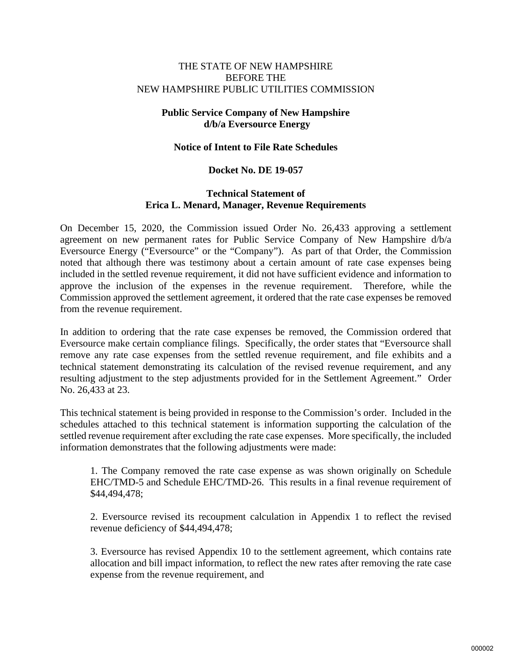## THE STATE OF NEW HAMPSHIRE BEFORE THE NEW HAMPSHIRE PUBLIC UTILITIES COMMISSION

# **Public Service Company of New Hampshire d/b/a Eversource Energy**

#### **Notice of Intent to File Rate Schedules**

# **Docket No. DE 19-057**

## **Technical Statement of Erica L. Menard, Manager, Revenue Requirements**

On December 15, 2020, the Commission issued Order No. 26,433 approving a settlement agreement on new permanent rates for Public Service Company of New Hampshire d/b/a Eversource Energy ("Eversource" or the "Company"). As part of that Order, the Commission noted that although there was testimony about a certain amount of rate case expenses being included in the settled revenue requirement, it did not have sufficient evidence and information to approve the inclusion of the expenses in the revenue requirement. Therefore, while the Commission approved the settlement agreement, it ordered that the rate case expenses be removed from the revenue requirement.

In addition to ordering that the rate case expenses be removed, the Commission ordered that Eversource make certain compliance filings. Specifically, the order states that "Eversource shall remove any rate case expenses from the settled revenue requirement, and file exhibits and a technical statement demonstrating its calculation of the revised revenue requirement, and any resulting adjustment to the step adjustments provided for in the Settlement Agreement." Order No. 26,433 at 23.

This technical statement is being provided in response to the Commission's order. Included in the schedules attached to this technical statement is information supporting the calculation of the settled revenue requirement after excluding the rate case expenses. More specifically, the included information demonstrates that the following adjustments were made:

1. The Company removed the rate case expense as was shown originally on Schedule EHC/TMD-5 and Schedule EHC/TMD-26. This results in a final revenue requirement of \$44,494,478;

2. Eversource revised its recoupment calculation in Appendix 1 to reflect the revised revenue deficiency of \$44,494,478;

3. Eversource has revised Appendix 10 to the settlement agreement, which contains rate allocation and bill impact information, to reflect the new rates after removing the rate case expense from the revenue requirement, and